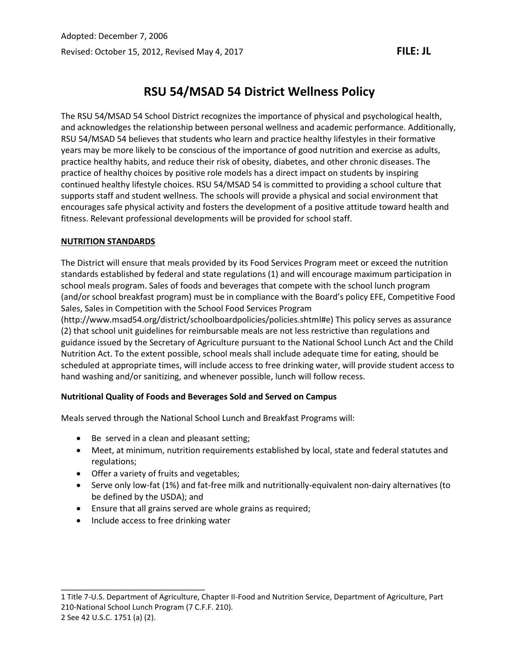# **RSU 54/MSAD 54 District Wellness Policy**

The RSU 54/MSAD 54 School District recognizes the importance of physical and psychological health, and acknowledges the relationship between personal wellness and academic performance. Additionally, RSU 54/MSAD 54 believes that students who learn and practice healthy lifestyles in their formative years may be more likely to be conscious of the importance of good nutrition and exercise as adults, practice healthy habits, and reduce their risk of obesity, diabetes, and other chronic diseases. The practice of healthy choices by positive role models has a direct impact on students by inspiring continued healthy lifestyle choices. RSU 54/MSAD 54 is committed to providing a school culture that supports staff and student wellness. The schools will provide a physical and social environment that encourages safe physical activity and fosters the development of a positive attitude toward health and fitness. Relevant professional developments will be provided for school staff.

# **NUTRITION STANDARDS**

The District will ensure that meals provided by its Food Services Program meet or exceed the nutrition standards established by federal and state regulations (1) and will encourage maximum participation in school meals program. Sales of foods and beverages that compete with the school lunch program (and/or school breakfast program) must be in compliance with the Board's policy EFE, Competitive Food Sales, Sales in Competition with the School Food Services Program

(http://www.msad54.org/district/schoolboardpolicies/policies.shtml#e) This policy serves as assurance (2) that school unit guidelines for reimbursable meals are not less restrictive than regulations and guidance issued by the Secretary of Agriculture pursuant to the National School Lunch Act and the Child Nutrition Act. To the extent possible, school meals shall include adequate time for eating, should be scheduled at appropriate times, will include access to free drinking water, will provide student access to hand washing and/or sanitizing, and whenever possible, lunch will follow recess.

## **Nutritional Quality of Foods and Beverages Sold and Served on Campus**

Meals served through the National School Lunch and Breakfast Programs will:

- Be served in a clean and pleasant setting;
- Meet, at minimum, nutrition requirements established by local, state and federal statutes and regulations;
- Offer a variety of fruits and vegetables;
- Serve only low-fat (1%) and fat-free milk and nutritionally-equivalent non-dairy alternatives (to be defined by the USDA); and
- Ensure that all grains served are whole grains as required;
- Include access to free drinking water

\_\_\_\_\_\_\_\_\_\_\_\_\_\_\_\_\_\_\_\_\_\_\_\_\_\_\_\_\_\_\_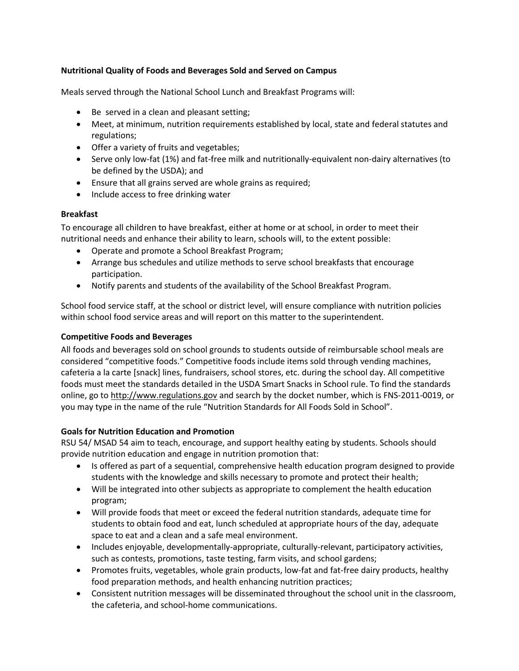## **Nutritional Quality of Foods and Beverages Sold and Served on Campus**

Meals served through the National School Lunch and Breakfast Programs will:

- Be served in a clean and pleasant setting;
- Meet, at minimum, nutrition requirements established by local, state and federal statutes and regulations;
- Offer a variety of fruits and vegetables;
- Serve only low-fat (1%) and fat-free milk and nutritionally-equivalent non-dairy alternatives (to be defined by the USDA); and
- Ensure that all grains served are whole grains as required;
- Include access to free drinking water

## **Breakfast**

To encourage all children to have breakfast, either at home or at school, in order to meet their nutritional needs and enhance their ability to learn, schools will, to the extent possible:

- Operate and promote a School Breakfast Program;
- Arrange bus schedules and utilize methods to serve school breakfasts that encourage participation.
- Notify parents and students of the availability of the School Breakfast Program.

School food service staff, at the school or district level, will ensure compliance with nutrition policies within school food service areas and will report on this matter to the superintendent.

## **Competitive Foods and Beverages**

All foods and beverages sold on school grounds to students outside of reimbursable school meals are considered "competitive foods." Competitive foods include items sold through vending machines, cafeteria a la carte [snack] lines, fundraisers, school stores, etc. during the school day. All competitive foods must meet the standards detailed in the USDA Smart Snacks in School rule. To find the standards online, go t[o http://www.regulations.gov](http://www.regulations.gov/) and search by the docket number, which is FNS-2011-0019, or you may type in the name of the rule "Nutrition Standards for All Foods Sold in School".

## **Goals for Nutrition Education and Promotion**

RSU 54/ MSAD 54 aim to teach, encourage, and support healthy eating by students. Schools should provide nutrition education and engage in nutrition promotion that:

- Is offered as part of a sequential, comprehensive health education program designed to provide students with the knowledge and skills necessary to promote and protect their health;
- Will be integrated into other subjects as appropriate to complement the health education program;
- Will provide foods that meet or exceed the federal nutrition standards, adequate time for students to obtain food and eat, lunch scheduled at appropriate hours of the day, adequate space to eat and a clean and a safe meal environment.
- Includes enjoyable, developmentally-appropriate, culturally-relevant, participatory activities, such as contests, promotions, taste testing, farm visits, and school gardens;
- Promotes fruits, vegetables, whole grain products, low-fat and fat-free dairy products, healthy food preparation methods, and health enhancing nutrition practices;
- Consistent nutrition messages will be disseminated throughout the school unit in the classroom, the cafeteria, and school-home communications.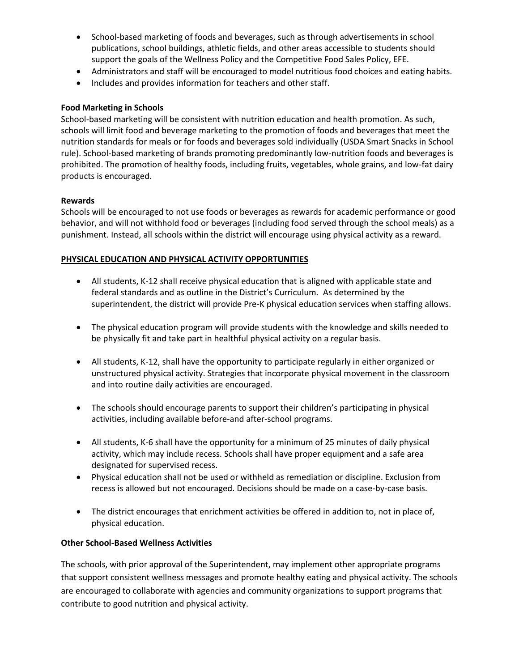- School-based marketing of foods and beverages, such as through advertisements in school publications, school buildings, athletic fields, and other areas accessible to students should support the goals of the Wellness Policy and the Competitive Food Sales Policy, EFE.
- Administrators and staff will be encouraged to model nutritious food choices and eating habits.
- Includes and provides information for teachers and other staff.

## **Food Marketing in Schools**

School-based marketing will be consistent with nutrition education and health promotion. As such, schools will limit food and beverage marketing to the promotion of foods and beverages that meet the nutrition standards for meals or for foods and beverages sold individually (USDA Smart Snacks in School rule). School-based marketing of brands promoting predominantly low-nutrition foods and beverages is prohibited. The promotion of healthy foods, including fruits, vegetables, whole grains, and low-fat dairy products is encouraged.

#### **Rewards**

Schools will be encouraged to not use foods or beverages as rewards for academic performance or good behavior, and will not withhold food or beverages (including food served through the school meals) as a punishment. Instead, all schools within the district will encourage using physical activity as a reward.

#### **PHYSICAL EDUCATION AND PHYSICAL ACTIVITY OPPORTUNITIES**

- All students, K-12 shall receive physical education that is aligned with applicable state and federal standards and as outline in the District's Curriculum. As determined by the superintendent, the district will provide Pre-K physical education services when staffing allows.
- The physical education program will provide students with the knowledge and skills needed to be physically fit and take part in healthful physical activity on a regular basis.
- All students, K-12, shall have the opportunity to participate regularly in either organized or unstructured physical activity. Strategies that incorporate physical movement in the classroom and into routine daily activities are encouraged.
- The schools should encourage parents to support their children's participating in physical activities, including available before-and after-school programs.
- All students, K-6 shall have the opportunity for a minimum of 25 minutes of daily physical activity, which may include recess. Schools shall have proper equipment and a safe area designated for supervised recess.
- Physical education shall not be used or withheld as remediation or discipline. Exclusion from recess is allowed but not encouraged. Decisions should be made on a case-by-case basis.
- The district encourages that enrichment activities be offered in addition to, not in place of, physical education.

## **Other School-Based Wellness Activities**

The schools, with prior approval of the Superintendent, may implement other appropriate programs that support consistent wellness messages and promote healthy eating and physical activity. The schools are encouraged to collaborate with agencies and community organizations to support programs that contribute to good nutrition and physical activity.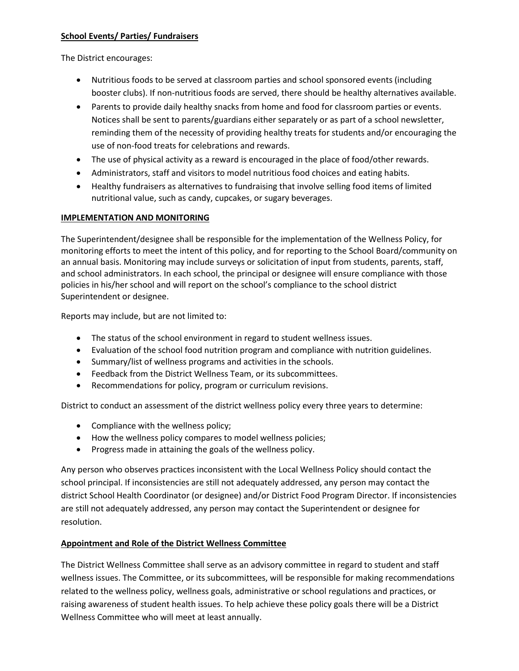## **School Events/ Parties/ Fundraisers**

The District encourages:

- Nutritious foods to be served at classroom parties and school sponsored events (including booster clubs). If non-nutritious foods are served, there should be healthy alternatives available.
- Parents to provide daily healthy snacks from home and food for classroom parties or events. Notices shall be sent to parents/guardians either separately or as part of a school newsletter, reminding them of the necessity of providing healthy treats for students and/or encouraging the use of non-food treats for celebrations and rewards.
- The use of physical activity as a reward is encouraged in the place of food/other rewards.
- Administrators, staff and visitors to model nutritious food choices and eating habits.
- Healthy fundraisers as alternatives to fundraising that involve selling food items of limited nutritional value, such as candy, cupcakes, or sugary beverages.

## **IMPLEMENTATION AND MONITORING**

The Superintendent/designee shall be responsible for the implementation of the Wellness Policy, for monitoring efforts to meet the intent of this policy, and for reporting to the School Board/community on an annual basis. Monitoring may include surveys or solicitation of input from students, parents, staff, and school administrators. In each school, the principal or designee will ensure compliance with those policies in his/her school and will report on the school's compliance to the school district Superintendent or designee.

Reports may include, but are not limited to:

- The status of the school environment in regard to student wellness issues.
- Evaluation of the school food nutrition program and compliance with nutrition guidelines.
- Summary/list of wellness programs and activities in the schools.
- Feedback from the District Wellness Team, or its subcommittees.
- Recommendations for policy, program or curriculum revisions.

District to conduct an assessment of the district wellness policy every three years to determine:

- Compliance with the wellness policy;
- How the wellness policy compares to model wellness policies;
- Progress made in attaining the goals of the wellness policy.

Any person who observes practices inconsistent with the Local Wellness Policy should contact the school principal. If inconsistencies are still not adequately addressed, any person may contact the district School Health Coordinator (or designee) and/or District Food Program Director. If inconsistencies are still not adequately addressed, any person may contact the Superintendent or designee for resolution.

# **Appointment and Role of the District Wellness Committee**

The District Wellness Committee shall serve as an advisory committee in regard to student and staff wellness issues. The Committee, or its subcommittees, will be responsible for making recommendations related to the wellness policy, wellness goals, administrative or school regulations and practices, or raising awareness of student health issues. To help achieve these policy goals there will be a District Wellness Committee who will meet at least annually.